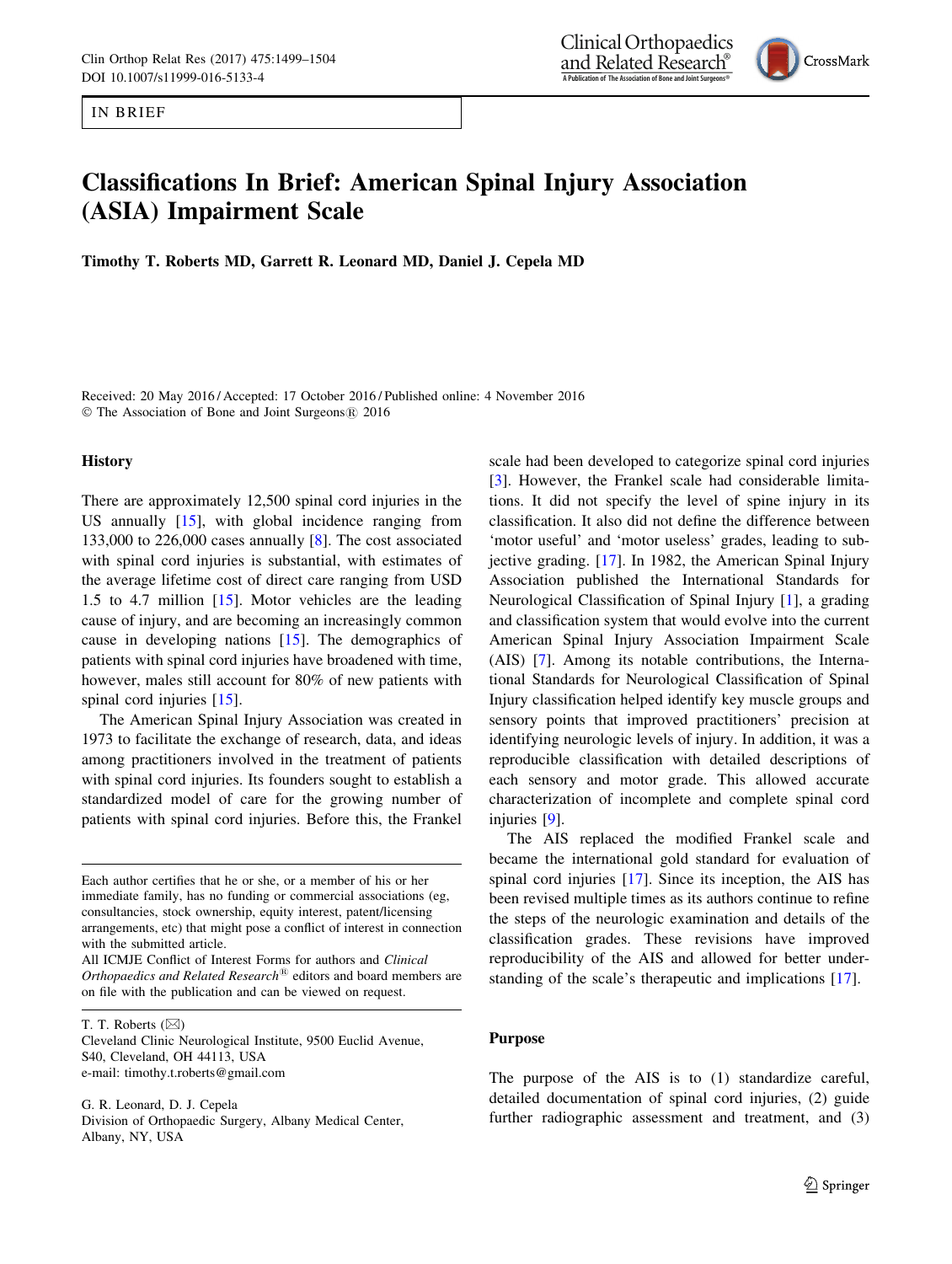IN BRIEF

# Classifications In Brief: American Spinal Injury Association (ASIA) Impairment Scale

Timothy T. Roberts MD, Garrett R. Leonard MD, Daniel J. Cepela MD

Received: 20 May 2016 / Accepted: 17 October 2016 / Published online: 4 November 2016 © The Association of Bone and Joint Surgeons® 2016

#### **History**

There are approximately 12,500 spinal cord injuries in the US annually [\[15](#page-5-0)], with global incidence ranging from 133,000 to 226,000 cases annually [[8\]](#page-4-0). The cost associated with spinal cord injuries is substantial, with estimates of the average lifetime cost of direct care ranging from USD 1.5 to 4.7 million  $[15]$  $[15]$ . Motor vehicles are the leading cause of injury, and are becoming an increasingly common cause in developing nations [\[15](#page-5-0)]. The demographics of patients with spinal cord injuries have broadened with time, however, males still account for 80% of new patients with spinal cord injuries [\[15](#page-5-0)].

The American Spinal Injury Association was created in 1973 to facilitate the exchange of research, data, and ideas among practitioners involved in the treatment of patients with spinal cord injuries. Its founders sought to establish a standardized model of care for the growing number of patients with spinal cord injuries. Before this, the Frankel

Each author certifies that he or she, or a member of his or her immediate family, has no funding or commercial associations (eg, consultancies, stock ownership, equity interest, patent/licensing arrangements, etc) that might pose a conflict of interest in connection with the submitted article.

All ICMJE Conflict of Interest Forms for authors and Clinical Orthopaedics and Related Research<sup>®</sup> editors and board members are on file with the publication and can be viewed on request.

T. T. Roberts  $(\boxtimes)$ 

Cleveland Clinic Neurological Institute, 9500 Euclid Avenue, S40, Cleveland, OH 44113, USA e-mail: timothy.t.roberts@gmail.com

G. R. Leonard, D. J. Cepela Division of Orthopaedic Surgery, Albany Medical Center, Albany, NY, USA

scale had been developed to categorize spinal cord injuries [\[3](#page-4-0)]. However, the Frankel scale had considerable limitations. It did not specify the level of spine injury in its classification. It also did not define the difference between 'motor useful' and 'motor useless' grades, leading to subjective grading. [[17\]](#page-5-0). In 1982, the American Spinal Injury Association published the International Standards for Neurological Classification of Spinal Injury [[1\]](#page-4-0), a grading and classification system that would evolve into the current American Spinal Injury Association Impairment Scale (AIS) [[7\]](#page-4-0). Among its notable contributions, the International Standards for Neurological Classification of Spinal Injury classification helped identify key muscle groups and sensory points that improved practitioners' precision at identifying neurologic levels of injury. In addition, it was a reproducible classification with detailed descriptions of each sensory and motor grade. This allowed accurate characterization of incomplete and complete spinal cord injuries [[9\]](#page-4-0).

The AIS replaced the modified Frankel scale and became the international gold standard for evaluation of spinal cord injuries [[17\]](#page-5-0). Since its inception, the AIS has been revised multiple times as its authors continue to refine the steps of the neurologic examination and details of the classification grades. These revisions have improved reproducibility of the AIS and allowed for better understanding of the scale's therapeutic and implications [\[17](#page-5-0)].

#### Purpose

The purpose of the AIS is to (1) standardize careful, detailed documentation of spinal cord injuries, (2) guide further radiographic assessment and treatment, and (3)



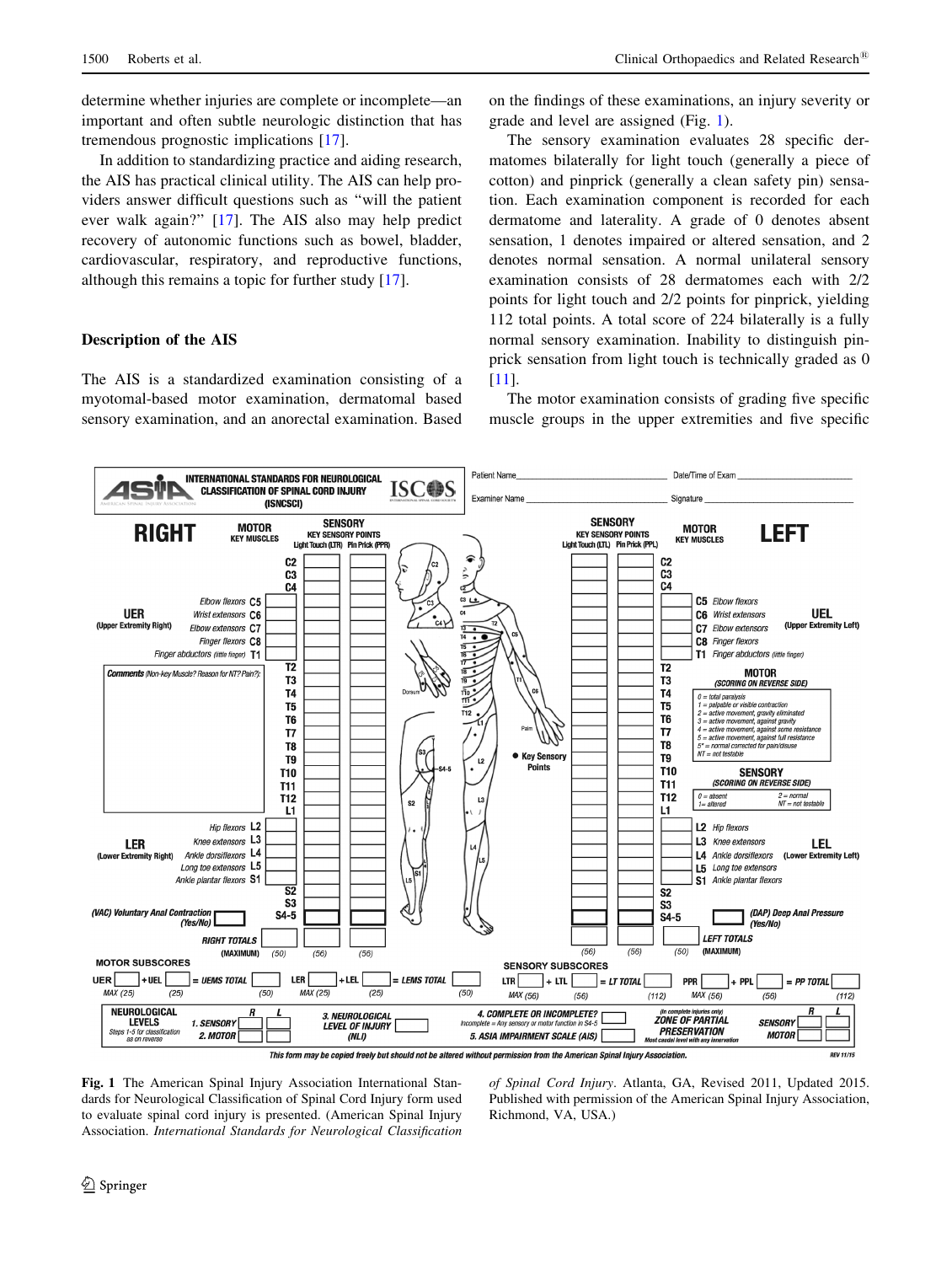determine whether injuries are complete or incomplete—an important and often subtle neurologic distinction that has tremendous prognostic implications [[17\]](#page-5-0).

In addition to standardizing practice and aiding research, the AIS has practical clinical utility. The AIS can help providers answer difficult questions such as ''will the patient ever walk again?'' [\[17](#page-5-0)]. The AIS also may help predict recovery of autonomic functions such as bowel, bladder, cardiovascular, respiratory, and reproductive functions, although this remains a topic for further study [[17\]](#page-5-0).

# Description of the AIS

The AIS is a standardized examination consisting of a myotomal-based motor examination, dermatomal based sensory examination, and an anorectal examination. Based on the findings of these examinations, an injury severity or grade and level are assigned (Fig. 1).

The sensory examination evaluates 28 specific dermatomes bilaterally for light touch (generally a piece of cotton) and pinprick (generally a clean safety pin) sensation. Each examination component is recorded for each dermatome and laterality. A grade of 0 denotes absent sensation, 1 denotes impaired or altered sensation, and 2 denotes normal sensation. A normal unilateral sensory examination consists of 28 dermatomes each with 2/2 points for light touch and 2/2 points for pinprick, yielding 112 total points. A total score of 224 bilaterally is a fully normal sensory examination. Inability to distinguish pinprick sensation from light touch is technically graded as 0 [\[11](#page-4-0)].

The motor examination consists of grading five specific muscle groups in the upper extremities and five specific



Fig. 1 The American Spinal Injury Association International Standards for Neurological Classification of Spinal Cord Injury form used to evaluate spinal cord injury is presented. (American Spinal Injury Association. International Standards for Neurological Classification of Spinal Cord Injury. Atlanta, GA, Revised 2011, Updated 2015. Published with permission of the American Spinal Injury Association, Richmond, VA, USA.)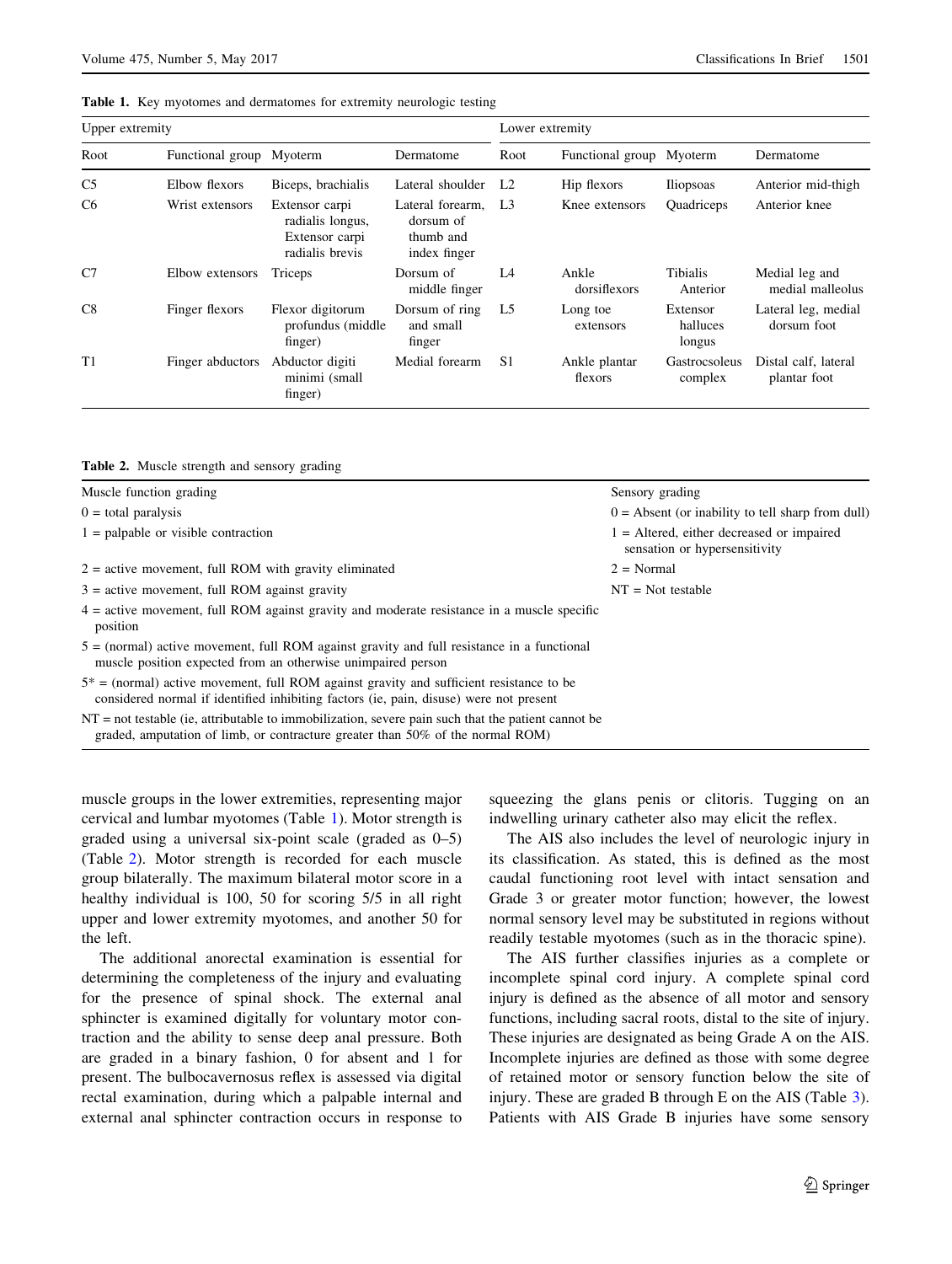| Table 1. Key myotomes and dermatomes for extremity neurologic testing |  |
|-----------------------------------------------------------------------|--|
|-----------------------------------------------------------------------|--|

| Upper extremity |                          |                                                                         | Lower extremity                                            |                |                          |                                |                                      |
|-----------------|--------------------------|-------------------------------------------------------------------------|------------------------------------------------------------|----------------|--------------------------|--------------------------------|--------------------------------------|
| Root            | Functional group Myoterm |                                                                         | Dermatome                                                  | Root           | Functional group Myoterm |                                | Dermatome                            |
| C <sub>5</sub>  | Elbow flexors            | Biceps, brachialis                                                      | Lateral shoulder                                           | L <sub>2</sub> | Hip flexors              | <b>Iliopsoas</b>               | Anterior mid-thigh                   |
| C <sub>6</sub>  | Wrist extensors          | Extensor carpi<br>radialis longus,<br>Extensor carpi<br>radialis brevis | Lateral forearm.<br>dorsum of<br>thumb and<br>index finger | L <sub>3</sub> | Knee extensors           | Quadriceps                     | Anterior knee                        |
| C <sub>7</sub>  | Elbow extensors          | Triceps                                                                 | Dorsum of<br>middle finger                                 | L4             | Ankle<br>dorsiflexors    | Tibialis<br>Anterior           | Medial leg and<br>medial malleolus   |
| C8              | Finger flexors           | Flexor digitorum<br>profundus (middle)<br>finger)                       | Dorsum of ring<br>and small<br>finger                      | L <sub>5</sub> | Long toe<br>extensors    | Extensor<br>halluces<br>longus | Lateral leg, medial<br>dorsum foot   |
| T1              | Finger abductors         | Abductor digiti<br>minimi (small<br>finger)                             | Medial forearm                                             | S <sub>1</sub> | Ankle plantar<br>flexors | Gastrocsoleus<br>complex       | Distal calf, lateral<br>plantar foot |

| Table 2. Muscle strength and sensory grading |  |  |  |  |  |
|----------------------------------------------|--|--|--|--|--|
|----------------------------------------------|--|--|--|--|--|

| Muscle function grading                                                                                                                                                                   | Sensory grading                                                              |
|-------------------------------------------------------------------------------------------------------------------------------------------------------------------------------------------|------------------------------------------------------------------------------|
| $0 =$ total paralysis                                                                                                                                                                     | $0 =$ Absent (or inability to tell sharp from dull)                          |
| $1$ = palpable or visible contraction                                                                                                                                                     | $1 =$ Altered, either decreased or impaired<br>sensation or hypersensitivity |
| $2$ = active movement, full ROM with gravity eliminated                                                                                                                                   | $2 = Normal$                                                                 |
| $3$ = active movement, full ROM against gravity                                                                                                                                           | $NT = Not testable$                                                          |
| $4 =$ active movement, full ROM against gravity and moderate resistance in a muscle specific<br>position                                                                                  |                                                                              |
| $5 =$ (normal) active movement, full ROM against gravity and full resistance in a functional<br>muscle position expected from an otherwise unimpaired person                              |                                                                              |
| $5^*$ = (normal) active movement, full ROM against gravity and sufficient resistance to be<br>considered normal if identified inhibiting factors (ie, pain, disuse) were not present      |                                                                              |
| $NT = not testable$ (ie, attributable to immobilization, severe pain such that the patient cannot be<br>graded, amputation of limb, or contracture greater than $50\%$ of the normal ROM) |                                                                              |

muscle groups in the lower extremities, representing major cervical and lumbar myotomes (Table 1). Motor strength is graded using a universal six-point scale (graded as 0–5) (Table 2). Motor strength is recorded for each muscle group bilaterally. The maximum bilateral motor score in a healthy individual is 100, 50 for scoring 5/5 in all right upper and lower extremity myotomes, and another 50 for the left.

The additional anorectal examination is essential for determining the completeness of the injury and evaluating for the presence of spinal shock. The external anal sphincter is examined digitally for voluntary motor contraction and the ability to sense deep anal pressure. Both are graded in a binary fashion, 0 for absent and 1 for present. The bulbocavernosus reflex is assessed via digital rectal examination, during which a palpable internal and external anal sphincter contraction occurs in response to squeezing the glans penis or clitoris. Tugging on an indwelling urinary catheter also may elicit the reflex.

The AIS also includes the level of neurologic injury in its classification. As stated, this is defined as the most caudal functioning root level with intact sensation and Grade 3 or greater motor function; however, the lowest normal sensory level may be substituted in regions without readily testable myotomes (such as in the thoracic spine).

The AIS further classifies injuries as a complete or incomplete spinal cord injury. A complete spinal cord injury is defined as the absence of all motor and sensory functions, including sacral roots, distal to the site of injury. These injuries are designated as being Grade A on the AIS. Incomplete injuries are defined as those with some degree of retained motor or sensory function below the site of injury. These are graded B through E on the AIS (Table [3](#page-3-0)). Patients with AIS Grade B injuries have some sensory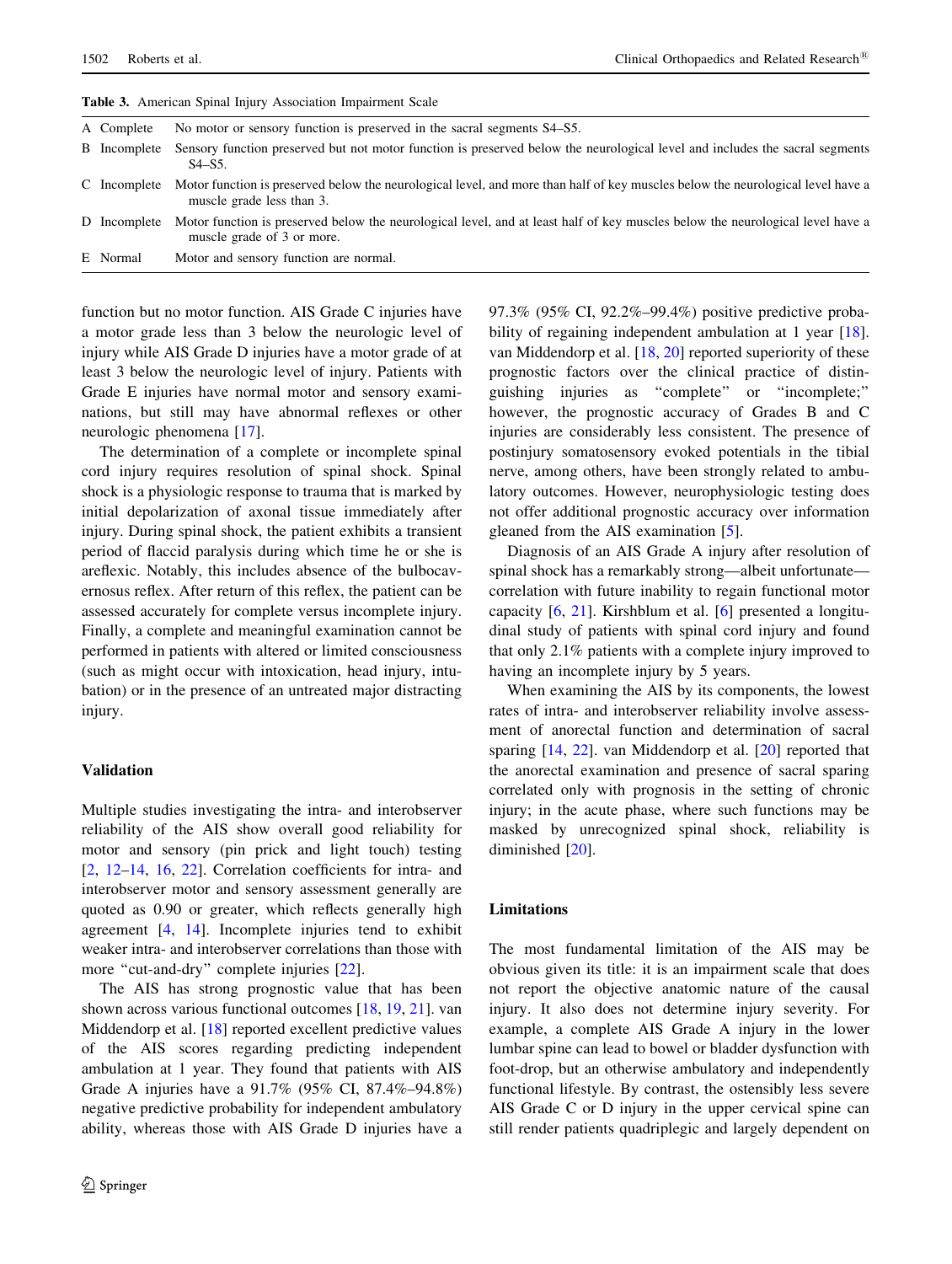| A Complete          | No motor or sensory function is preserved in the sacral segments S4–S5.                                                                                      |
|---------------------|--------------------------------------------------------------------------------------------------------------------------------------------------------------|
| <b>B</b> Incomplete | Sensory function preserved but not motor function is preserved below the neurological level and includes the sacral segments<br>$S4 - S5$ .                  |
| C Incomplete        | Motor function is preserved below the neurological level, and more than half of key muscles below the neurological level have a<br>muscle grade less than 3. |
| D Incomplete        | Motor function is preserved below the neurological level, and at least half of key muscles below the neurological level have a<br>muscle grade of 3 or more. |
| E Normal            | Motor and sensory function are normal.                                                                                                                       |

<span id="page-3-0"></span>Table 3. American Spinal Injury Association Impairment Scale

function but no motor function. AIS Grade C injuries have a motor grade less than 3 below the neurologic level of injury while AIS Grade D injuries have a motor grade of at least 3 below the neurologic level of injury. Patients with Grade E injuries have normal motor and sensory examinations, but still may have abnormal reflexes or other neurologic phenomena [[17\]](#page-5-0).

The determination of a complete or incomplete spinal cord injury requires resolution of spinal shock. Spinal shock is a physiologic response to trauma that is marked by initial depolarization of axonal tissue immediately after injury. During spinal shock, the patient exhibits a transient period of flaccid paralysis during which time he or she is areflexic. Notably, this includes absence of the bulbocavernosus reflex. After return of this reflex, the patient can be assessed accurately for complete versus incomplete injury. Finally, a complete and meaningful examination cannot be performed in patients with altered or limited consciousness (such as might occur with intoxication, head injury, intubation) or in the presence of an untreated major distracting injury.

#### Validation

Multiple studies investigating the intra- and interobserver reliability of the AIS show overall good reliability for motor and sensory (pin prick and light touch) testing [\[2](#page-4-0), [12–14,](#page-4-0) [16](#page-5-0), [22\]](#page-5-0). Correlation coefficients for intra- and interobserver motor and sensory assessment generally are quoted as 0.90 or greater, which reflects generally high agreement [\[4](#page-4-0), [14\]](#page-4-0). Incomplete injuries tend to exhibit weaker intra- and interobserver correlations than those with more "cut-and-dry" complete injuries [[22\]](#page-5-0).

The AIS has strong prognostic value that has been shown across various functional outcomes [\[18](#page-5-0), [19](#page-5-0), [21](#page-5-0)]. van Middendorp et al. [\[18](#page-5-0)] reported excellent predictive values of the AIS scores regarding predicting independent ambulation at 1 year. They found that patients with AIS Grade A injuries have a 91.7% (95% CI, 87.4%–94.8%) negative predictive probability for independent ambulatory ability, whereas those with AIS Grade D injuries have a 97.3% (95% CI, 92.2%–99.4%) positive predictive proba-bility of regaining independent ambulation at 1 year [\[18](#page-5-0)]. van Middendorp et al. [\[18](#page-5-0), [20](#page-5-0)] reported superiority of these prognostic factors over the clinical practice of distinguishing injuries as ''complete'' or ''incomplete;'' however, the prognostic accuracy of Grades B and C injuries are considerably less consistent. The presence of postinjury somatosensory evoked potentials in the tibial nerve, among others, have been strongly related to ambulatory outcomes. However, neurophysiologic testing does not offer additional prognostic accuracy over information gleaned from the AIS examination [[5\]](#page-4-0).

Diagnosis of an AIS Grade A injury after resolution of spinal shock has a remarkably strong—albeit unfortunate correlation with future inability to regain functional motor capacity [[6](#page-4-0), [21\]](#page-5-0). Kirshblum et al. [[6\]](#page-4-0) presented a longitudinal study of patients with spinal cord injury and found that only 2.1% patients with a complete injury improved to having an incomplete injury by 5 years.

When examining the AIS by its components, the lowest rates of intra- and interobserver reliability involve assessment of anorectal function and determination of sacral sparing [\[14](#page-4-0), [22](#page-5-0)]. van Middendorp et al. [[20\]](#page-5-0) reported that the anorectal examination and presence of sacral sparing correlated only with prognosis in the setting of chronic injury; in the acute phase, where such functions may be masked by unrecognized spinal shock, reliability is diminished [\[20](#page-5-0)].

## Limitations

The most fundamental limitation of the AIS may be obvious given its title: it is an impairment scale that does not report the objective anatomic nature of the causal injury. It also does not determine injury severity. For example, a complete AIS Grade A injury in the lower lumbar spine can lead to bowel or bladder dysfunction with foot-drop, but an otherwise ambulatory and independently functional lifestyle. By contrast, the ostensibly less severe AIS Grade C or D injury in the upper cervical spine can still render patients quadriplegic and largely dependent on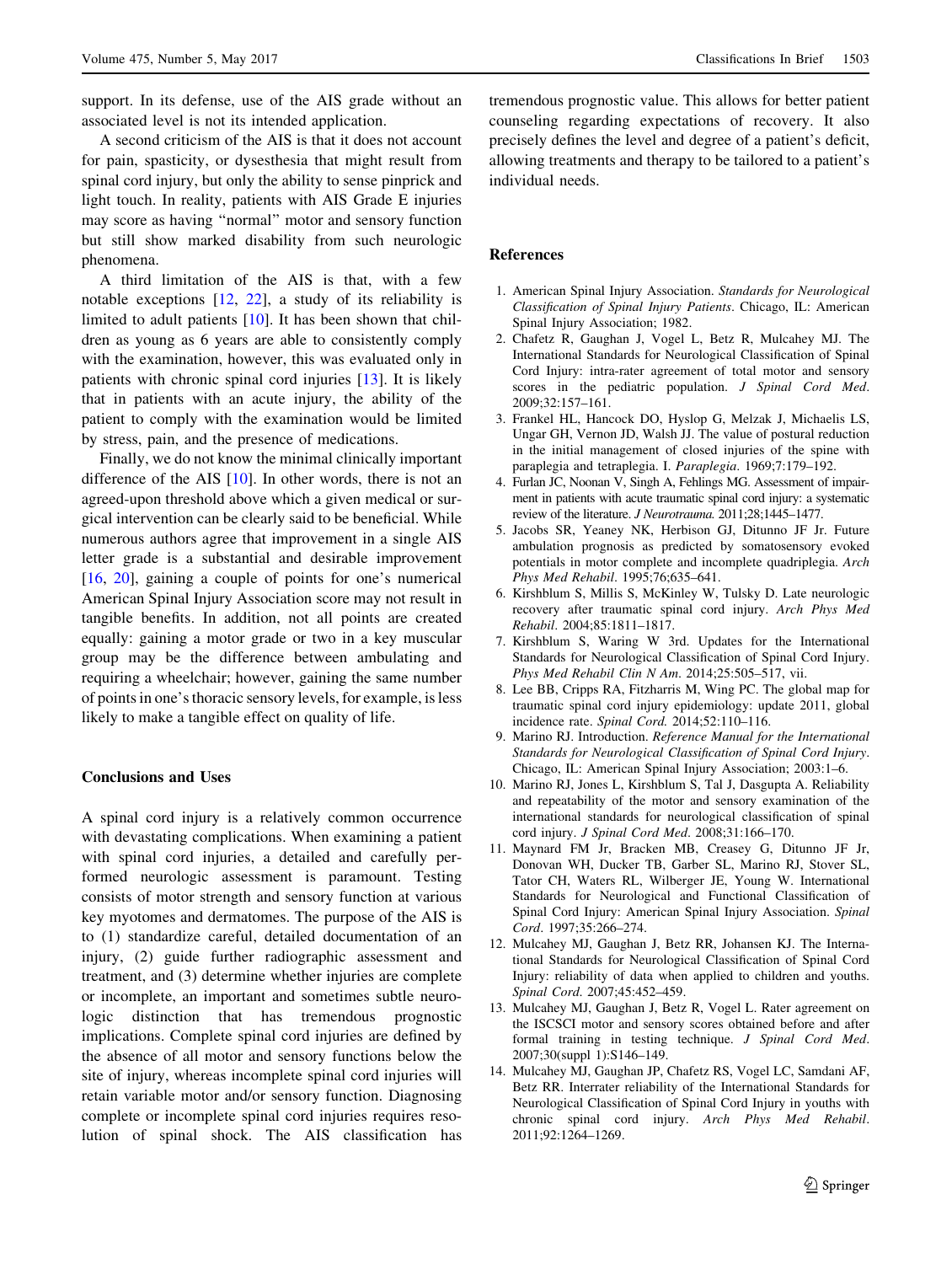<span id="page-4-0"></span>support. In its defense, use of the AIS grade without an associated level is not its intended application.

A second criticism of the AIS is that it does not account for pain, spasticity, or dysesthesia that might result from spinal cord injury, but only the ability to sense pinprick and light touch. In reality, patients with AIS Grade E injuries may score as having ''normal'' motor and sensory function but still show marked disability from such neurologic phenomena.

A third limitation of the AIS is that, with a few notable exceptions [12, [22](#page-5-0)], a study of its reliability is limited to adult patients [10]. It has been shown that children as young as 6 years are able to consistently comply with the examination, however, this was evaluated only in patients with chronic spinal cord injuries [13]. It is likely that in patients with an acute injury, the ability of the patient to comply with the examination would be limited by stress, pain, and the presence of medications.

Finally, we do not know the minimal clinically important difference of the AIS  $[10]$ . In other words, there is not an agreed-upon threshold above which a given medical or surgical intervention can be clearly said to be beneficial. While numerous authors agree that improvement in a single AIS letter grade is a substantial and desirable improvement [\[16](#page-5-0), [20](#page-5-0)], gaining a couple of points for one's numerical American Spinal Injury Association score may not result in tangible benefits. In addition, not all points are created equally: gaining a motor grade or two in a key muscular group may be the difference between ambulating and requiring a wheelchair; however, gaining the same number of points in one's thoracic sensory levels, for example, is less likely to make a tangible effect on quality of life.

# Conclusions and Uses

A spinal cord injury is a relatively common occurrence with devastating complications. When examining a patient with spinal cord injuries, a detailed and carefully performed neurologic assessment is paramount. Testing consists of motor strength and sensory function at various key myotomes and dermatomes. The purpose of the AIS is to (1) standardize careful, detailed documentation of an injury, (2) guide further radiographic assessment and treatment, and (3) determine whether injuries are complete or incomplete, an important and sometimes subtle neurologic distinction that has tremendous prognostic implications. Complete spinal cord injuries are defined by the absence of all motor and sensory functions below the site of injury, whereas incomplete spinal cord injuries will retain variable motor and/or sensory function. Diagnosing complete or incomplete spinal cord injuries requires resolution of spinal shock. The AIS classification has

tremendous prognostic value. This allows for better patient counseling regarding expectations of recovery. It also precisely defines the level and degree of a patient's deficit, allowing treatments and therapy to be tailored to a patient's individual needs.

## References

- 1. American Spinal Injury Association. Standards for Neurological Classification of Spinal Injury Patients. Chicago, IL: American Spinal Injury Association; 1982.
- 2. Chafetz R, Gaughan J, Vogel L, Betz R, Mulcahey MJ. The International Standards for Neurological Classification of Spinal Cord Injury: intra-rater agreement of total motor and sensory scores in the pediatric population. J Spinal Cord Med. 2009;32:157–161.
- 3. Frankel HL, Hancock DO, Hyslop G, Melzak J, Michaelis LS, Ungar GH, Vernon JD, Walsh JJ. The value of postural reduction in the initial management of closed injuries of the spine with paraplegia and tetraplegia. I. Paraplegia. 1969;7:179–192.
- 4. Furlan JC, Noonan V, Singh A, Fehlings MG. Assessment of impairment in patients with acute traumatic spinal cord injury: a systematic review of the literature. J Neurotrauma. 2011;28;1445–1477.
- 5. Jacobs SR, Yeaney NK, Herbison GJ, Ditunno JF Jr. Future ambulation prognosis as predicted by somatosensory evoked potentials in motor complete and incomplete quadriplegia. Arch Phys Med Rehabil. 1995;76;635–641.
- 6. Kirshblum S, Millis S, McKinley W, Tulsky D. Late neurologic recovery after traumatic spinal cord injury. Arch Phys Med Rehabil. 2004;85:1811–1817.
- 7. Kirshblum S, Waring W 3rd. Updates for the International Standards for Neurological Classification of Spinal Cord Injury. Phys Med Rehabil Clin N Am. 2014;25:505–517, vii.
- 8. Lee BB, Cripps RA, Fitzharris M, Wing PC. The global map for traumatic spinal cord injury epidemiology: update 2011, global incidence rate. Spinal Cord. 2014;52:110–116.
- 9. Marino RJ. Introduction. Reference Manual for the International Standards for Neurological Classification of Spinal Cord Injury. Chicago, IL: American Spinal Injury Association; 2003:1–6.
- 10. Marino RJ, Jones L, Kirshblum S, Tal J, Dasgupta A. Reliability and repeatability of the motor and sensory examination of the international standards for neurological classification of spinal cord injury. J Spinal Cord Med. 2008;31:166–170.
- 11. Maynard FM Jr, Bracken MB, Creasey G, Ditunno JF Jr, Donovan WH, Ducker TB, Garber SL, Marino RJ, Stover SL, Tator CH, Waters RL, Wilberger JE, Young W. International Standards for Neurological and Functional Classification of Spinal Cord Injury: American Spinal Injury Association. Spinal Cord. 1997;35:266–274.
- 12. Mulcahey MJ, Gaughan J, Betz RR, Johansen KJ. The International Standards for Neurological Classification of Spinal Cord Injury: reliability of data when applied to children and youths. Spinal Cord. 2007;45:452–459.
- 13. Mulcahey MJ, Gaughan J, Betz R, Vogel L. Rater agreement on the ISCSCI motor and sensory scores obtained before and after formal training in testing technique. J Spinal Cord Med. 2007;30(suppl 1):S146–149.
- 14. Mulcahey MJ, Gaughan JP, Chafetz RS, Vogel LC, Samdani AF, Betz RR. Interrater reliability of the International Standards for Neurological Classification of Spinal Cord Injury in youths with chronic spinal cord injury. Arch Phys Med Rehabil. 2011;92:1264–1269.